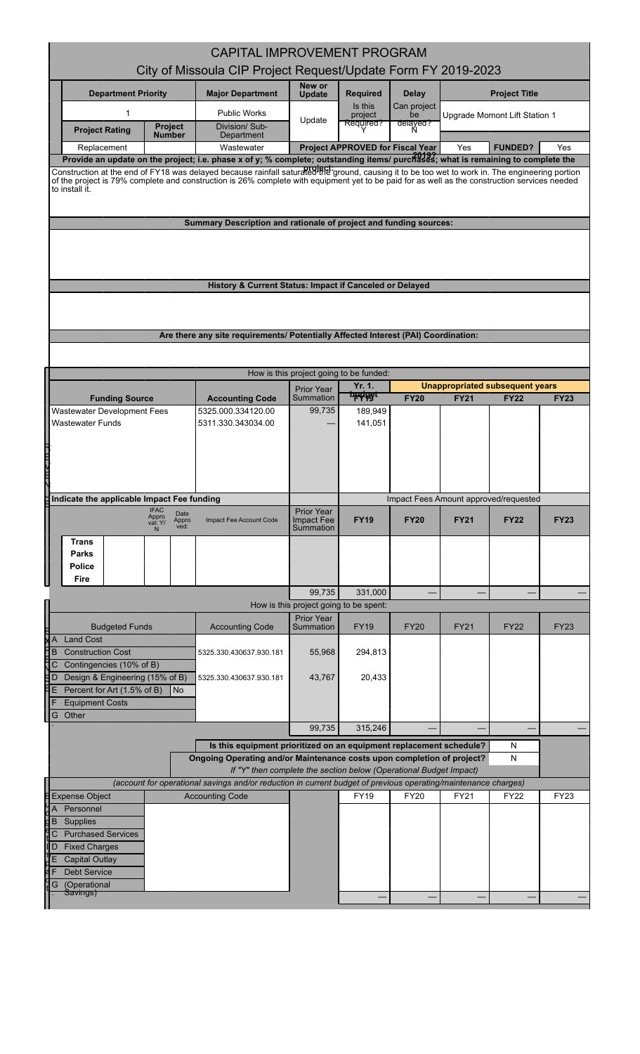|                                                                                                                                  | <b>CAPITAL IMPROVEMENT PROGRAM</b>                                                                                                                                                                                                                                                               |                                         |                                  |                                    |             |                                       |             |  |  |
|----------------------------------------------------------------------------------------------------------------------------------|--------------------------------------------------------------------------------------------------------------------------------------------------------------------------------------------------------------------------------------------------------------------------------------------------|-----------------------------------------|----------------------------------|------------------------------------|-------------|---------------------------------------|-------------|--|--|
|                                                                                                                                  | City of Missoula CIP Project Request/Update Form FY 2019-2023                                                                                                                                                                                                                                    |                                         |                                  |                                    |             |                                       |             |  |  |
| <b>Department Priority</b>                                                                                                       | <b>Major Department</b>                                                                                                                                                                                                                                                                          | New or<br><b>Update</b>                 | <b>Required</b>                  | <b>Delay</b>                       |             | <b>Project Title</b>                  |             |  |  |
| 1<br>Project<br><b>Project Rating</b><br><b>Number</b>                                                                           | <b>Public Works</b><br>Division/ Sub-<br>Department                                                                                                                                                                                                                                              | Update                                  | Is this<br>project<br>Required?  | Can project<br>be<br>delayed?<br>N |             | Upgrade Momont Lift Station 1         |             |  |  |
| Replacement                                                                                                                      | Wastewater                                                                                                                                                                                                                                                                                       |                                         | Project APPROVED for Fiscal Year |                                    | Yes         | <b>FUNDED?</b>                        | Yes         |  |  |
| Provide an update on the project; i.e. phase x of y; % complete; outstanding items/ purchases; what is remaining to complete the |                                                                                                                                                                                                                                                                                                  |                                         |                                  |                                    |             |                                       |             |  |  |
| to install it.                                                                                                                   | Construction at the end of FY18 was delayed because rainfall saturaled the ground, causing it to be too wet to work in. The engineering portion<br>of the project is 79% complete and construction is 26% complete with equipment yet to be paid for as well as the construction services needed |                                         |                                  |                                    |             |                                       |             |  |  |
|                                                                                                                                  | Summary Description and rationale of project and funding sources:                                                                                                                                                                                                                                |                                         |                                  |                                    |             |                                       |             |  |  |
|                                                                                                                                  |                                                                                                                                                                                                                                                                                                  |                                         |                                  |                                    |             |                                       |             |  |  |
|                                                                                                                                  | History & Current Status: Impact if Canceled or Delayed                                                                                                                                                                                                                                          |                                         |                                  |                                    |             |                                       |             |  |  |
|                                                                                                                                  |                                                                                                                                                                                                                                                                                                  |                                         |                                  |                                    |             |                                       |             |  |  |
|                                                                                                                                  |                                                                                                                                                                                                                                                                                                  |                                         |                                  |                                    |             |                                       |             |  |  |
|                                                                                                                                  | Are there any site requirements/ Potentially Affected Interest (PAI) Coordination:                                                                                                                                                                                                               |                                         |                                  |                                    |             |                                       |             |  |  |
|                                                                                                                                  |                                                                                                                                                                                                                                                                                                  |                                         |                                  |                                    |             |                                       |             |  |  |
|                                                                                                                                  |                                                                                                                                                                                                                                                                                                  | How is this project going to be funded: |                                  |                                    |             |                                       |             |  |  |
|                                                                                                                                  |                                                                                                                                                                                                                                                                                                  | <b>Prior Year</b>                       | Yr. 1.<br><b>budget</b>          |                                    |             | Unappropriated subsequent years       |             |  |  |
| <b>Funding Source</b><br><b>Wastewater Development Fees</b>                                                                      | <b>Accounting Code</b><br>5325.000.334120.00                                                                                                                                                                                                                                                     | Summation<br>99,735                     | 189,949                          | <b>FY20</b>                        | <b>FY21</b> | <b>FY22</b>                           | <b>FY23</b> |  |  |
| <b>Wastewater Funds</b>                                                                                                          | 5311.330.343034.00                                                                                                                                                                                                                                                                               |                                         | 141,051                          |                                    |             |                                       |             |  |  |
|                                                                                                                                  |                                                                                                                                                                                                                                                                                                  |                                         |                                  |                                    |             |                                       |             |  |  |
|                                                                                                                                  |                                                                                                                                                                                                                                                                                                  |                                         |                                  |                                    |             |                                       |             |  |  |
|                                                                                                                                  |                                                                                                                                                                                                                                                                                                  |                                         |                                  |                                    |             |                                       |             |  |  |
|                                                                                                                                  |                                                                                                                                                                                                                                                                                                  |                                         |                                  |                                    |             |                                       |             |  |  |
| Indicate the applicable Impact Fee funding<br><b>IFAC</b>                                                                        |                                                                                                                                                                                                                                                                                                  | <b>Prior Year</b>                       |                                  |                                    |             | Impact Fees Amount approved/requested |             |  |  |
| Date<br>Appro<br>Appro<br>val: Y/<br>ved:                                                                                        | Impact Fee Account Code                                                                                                                                                                                                                                                                          | <b>Impact Fee</b><br>Summation          | <b>FY19</b>                      | <b>FY20</b>                        | <b>FY21</b> | <b>FY22</b>                           | <b>FY23</b> |  |  |
| <b>Trans</b>                                                                                                                     |                                                                                                                                                                                                                                                                                                  |                                         |                                  |                                    |             |                                       |             |  |  |
| <b>Parks</b>                                                                                                                     |                                                                                                                                                                                                                                                                                                  |                                         |                                  |                                    |             |                                       |             |  |  |
| Police<br>Fire                                                                                                                   |                                                                                                                                                                                                                                                                                                  |                                         |                                  |                                    |             |                                       |             |  |  |
|                                                                                                                                  |                                                                                                                                                                                                                                                                                                  |                                         |                                  |                                    |             |                                       |             |  |  |
|                                                                                                                                  |                                                                                                                                                                                                                                                                                                  | 99,735                                  | 331,000                          |                                    |             |                                       |             |  |  |
|                                                                                                                                  |                                                                                                                                                                                                                                                                                                  | How is this project going to be spent:  |                                  |                                    |             |                                       |             |  |  |
| <b>Budgeted Funds</b>                                                                                                            | <b>Accounting Code</b>                                                                                                                                                                                                                                                                           | <b>Prior Year</b><br>Summation          | FY19                             | <b>FY20</b>                        | <b>FY21</b> | <b>FY22</b>                           | <b>FY23</b> |  |  |
| <b>Land Cost</b><br>A                                                                                                            |                                                                                                                                                                                                                                                                                                  |                                         |                                  |                                    |             |                                       |             |  |  |
| B<br><b>Construction Cost</b>                                                                                                    | 5325.330.430637.930.181                                                                                                                                                                                                                                                                          | 55,968                                  | 294,813                          |                                    |             |                                       |             |  |  |
| Contingencies (10% of B)<br>C<br>Design & Engineering (15% of B)<br>D                                                            | 5325.330.430637.930.181                                                                                                                                                                                                                                                                          | 43,767                                  | 20,433                           |                                    |             |                                       |             |  |  |
| E<br>Percent for Art (1.5% of B)<br><b>No</b>                                                                                    |                                                                                                                                                                                                                                                                                                  |                                         |                                  |                                    |             |                                       |             |  |  |
| F<br><b>Equipment Costs</b>                                                                                                      |                                                                                                                                                                                                                                                                                                  |                                         |                                  |                                    |             |                                       |             |  |  |
| G Other                                                                                                                          |                                                                                                                                                                                                                                                                                                  | 99,735                                  | 315,246                          |                                    |             |                                       |             |  |  |
|                                                                                                                                  | Is this equipment prioritized on an equipment replacement schedule?                                                                                                                                                                                                                              |                                         |                                  |                                    |             | N                                     |             |  |  |
|                                                                                                                                  | Ongoing Operating and/or Maintenance costs upon completion of project?                                                                                                                                                                                                                           |                                         |                                  |                                    |             | N                                     |             |  |  |
|                                                                                                                                  | If "Y" then complete the section below (Operational Budget Impact)                                                                                                                                                                                                                               |                                         |                                  |                                    |             |                                       |             |  |  |
| <b>Expense Object</b>                                                                                                            | (account for operational savings and/or reduction in current budget of previous operating/maintenance charges)<br><b>Accounting Code</b>                                                                                                                                                         |                                         | <b>FY19</b>                      | <b>FY20</b>                        | FY21        | <b>FY22</b>                           | <b>FY23</b> |  |  |
| A Personnel                                                                                                                      |                                                                                                                                                                                                                                                                                                  |                                         |                                  |                                    |             |                                       |             |  |  |
| Supplies<br>B                                                                                                                    |                                                                                                                                                                                                                                                                                                  |                                         |                                  |                                    |             |                                       |             |  |  |
| <b>Purchased Services</b><br>$\mathsf{C}$<br>D<br><b>Fixed Charges</b>                                                           |                                                                                                                                                                                                                                                                                                  |                                         |                                  |                                    |             |                                       |             |  |  |
| ľΕ<br><b>Capital Outlay</b>                                                                                                      |                                                                                                                                                                                                                                                                                                  |                                         |                                  |                                    |             |                                       |             |  |  |
| F<br><b>Debt Service</b><br>(Operational<br>G                                                                                    |                                                                                                                                                                                                                                                                                                  |                                         |                                  |                                    |             |                                       |             |  |  |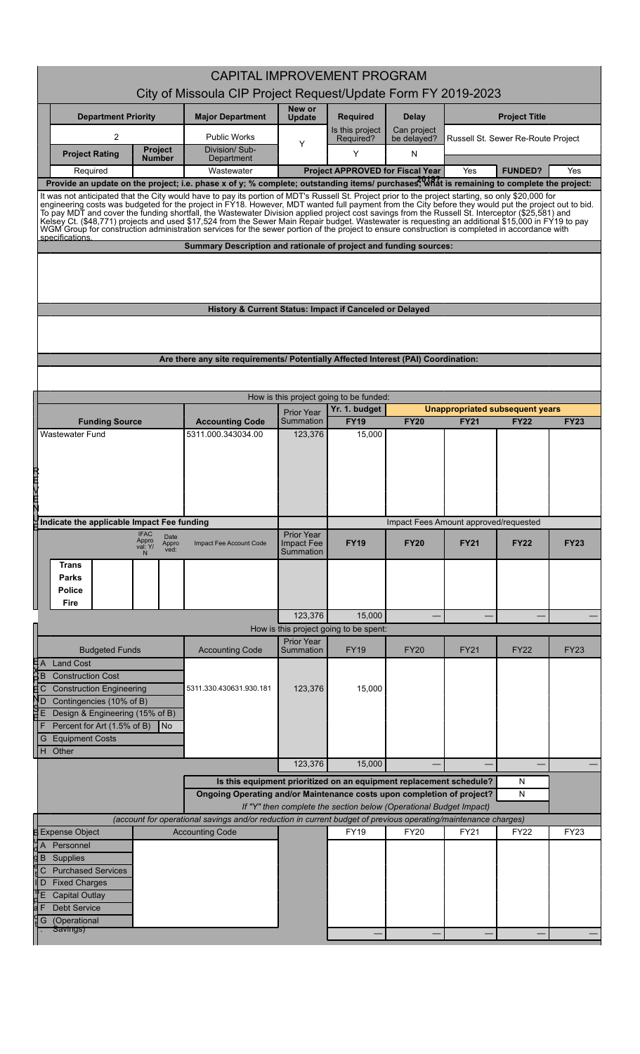| <b>CAPITAL IMPROVEMENT PROGRAM</b>                                                                                                                                                                                                                                                                                                                                                                                                                                                                                                                                                                                                 |                                   |                                                                                                                |                                |                                                                    |                                       |             |                                                |             |
|------------------------------------------------------------------------------------------------------------------------------------------------------------------------------------------------------------------------------------------------------------------------------------------------------------------------------------------------------------------------------------------------------------------------------------------------------------------------------------------------------------------------------------------------------------------------------------------------------------------------------------|-----------------------------------|----------------------------------------------------------------------------------------------------------------|--------------------------------|--------------------------------------------------------------------|---------------------------------------|-------------|------------------------------------------------|-------------|
|                                                                                                                                                                                                                                                                                                                                                                                                                                                                                                                                                                                                                                    |                                   | City of Missoula CIP Project Request/Update Form FY 2019-2023                                                  |                                |                                                                    |                                       |             |                                                |             |
| <b>Department Priority</b>                                                                                                                                                                                                                                                                                                                                                                                                                                                                                                                                                                                                         |                                   | <b>Major Department</b>                                                                                        | New or<br><b>Update</b>        | <b>Required</b>                                                    | <b>Delay</b>                          |             | <b>Project Title</b>                           |             |
| $\overline{c}$                                                                                                                                                                                                                                                                                                                                                                                                                                                                                                                                                                                                                     | <b>Project</b>                    | <b>Public Works</b><br>Division/Sub-                                                                           | Y                              | Is this project<br>Required?                                       | Can project<br>be delayed?            |             | Russell St. Sewer Re-Route Project             |             |
| <b>Project Rating</b>                                                                                                                                                                                                                                                                                                                                                                                                                                                                                                                                                                                                              | <b>Number</b>                     | Department                                                                                                     |                                | Y                                                                  | N                                     |             |                                                |             |
| Required<br>Provide an update on the project; i.e. phase x of y; % complete; outstanding items/ purchases, what is remaining to complete the project:                                                                                                                                                                                                                                                                                                                                                                                                                                                                              |                                   | Wastewater                                                                                                     |                                | <b>Project APPROVED for Fiscal Year</b>                            |                                       | Yes         | <b>FUNDED?</b>                                 | Yes         |
| It was not anticipated that the City would have to pay its portion of MDT's Russell St. Project prior to the project starting, so only \$20,000 for                                                                                                                                                                                                                                                                                                                                                                                                                                                                                |                                   |                                                                                                                |                                |                                                                    |                                       |             |                                                |             |
| engineering costs was budgeted for the project in FY18. However, MDT wanted full payment from the City before they would put the project out to bid.<br>To pay MDT and cover the funding shortfall, the Wastewater Division applied project cost savings from the Russell St. Interceptor (\$25,581) and<br>Kelsey Ct. (\$48,771) projects and used \$17,524 from the Sewer Main Repair budget. Wastewater is requesting an additional \$15,000 in FY19 to pay<br>WGM Group for construction administration services for the sewer portion of the project to ensure construction is completed in accordance with<br>specifications |                                   |                                                                                                                |                                |                                                                    |                                       |             |                                                |             |
|                                                                                                                                                                                                                                                                                                                                                                                                                                                                                                                                                                                                                                    |                                   | Summary Description and rationale of project and funding sources:                                              |                                |                                                                    |                                       |             |                                                |             |
|                                                                                                                                                                                                                                                                                                                                                                                                                                                                                                                                                                                                                                    |                                   |                                                                                                                |                                |                                                                    |                                       |             |                                                |             |
|                                                                                                                                                                                                                                                                                                                                                                                                                                                                                                                                                                                                                                    |                                   | History & Current Status: Impact if Canceled or Delayed                                                        |                                |                                                                    |                                       |             |                                                |             |
|                                                                                                                                                                                                                                                                                                                                                                                                                                                                                                                                                                                                                                    |                                   |                                                                                                                |                                |                                                                    |                                       |             |                                                |             |
|                                                                                                                                                                                                                                                                                                                                                                                                                                                                                                                                                                                                                                    |                                   | Are there any site requirements/ Potentially Affected Interest (PAI) Coordination:                             |                                |                                                                    |                                       |             |                                                |             |
|                                                                                                                                                                                                                                                                                                                                                                                                                                                                                                                                                                                                                                    |                                   |                                                                                                                |                                |                                                                    |                                       |             |                                                |             |
|                                                                                                                                                                                                                                                                                                                                                                                                                                                                                                                                                                                                                                    |                                   |                                                                                                                |                                |                                                                    |                                       |             |                                                |             |
|                                                                                                                                                                                                                                                                                                                                                                                                                                                                                                                                                                                                                                    |                                   |                                                                                                                |                                | How is this project going to be funded:<br>Yr. 1. budget           |                                       |             |                                                |             |
| <b>Funding Source</b>                                                                                                                                                                                                                                                                                                                                                                                                                                                                                                                                                                                                              |                                   | <b>Accounting Code</b>                                                                                         | <b>Prior Year</b><br>Summation | <b>FY19</b>                                                        | <b>FY20</b>                           | <b>FY21</b> | Unappropriated subsequent years<br><b>FY22</b> | <b>FY23</b> |
| <b>Wastewater Fund</b>                                                                                                                                                                                                                                                                                                                                                                                                                                                                                                                                                                                                             |                                   | 5311.000.343034.00                                                                                             | 123,376                        | 15,000                                                             |                                       |             |                                                |             |
|                                                                                                                                                                                                                                                                                                                                                                                                                                                                                                                                                                                                                                    |                                   |                                                                                                                |                                |                                                                    |                                       |             |                                                |             |
|                                                                                                                                                                                                                                                                                                                                                                                                                                                                                                                                                                                                                                    |                                   |                                                                                                                |                                |                                                                    |                                       |             |                                                |             |
|                                                                                                                                                                                                                                                                                                                                                                                                                                                                                                                                                                                                                                    |                                   |                                                                                                                |                                |                                                                    |                                       |             |                                                |             |
|                                                                                                                                                                                                                                                                                                                                                                                                                                                                                                                                                                                                                                    |                                   |                                                                                                                |                                |                                                                    |                                       |             |                                                |             |
| 2日以田丸                                                                                                                                                                                                                                                                                                                                                                                                                                                                                                                                                                                                                              |                                   |                                                                                                                |                                |                                                                    |                                       |             |                                                |             |
| Indicate the applicable Impact Fee funding                                                                                                                                                                                                                                                                                                                                                                                                                                                                                                                                                                                         |                                   |                                                                                                                |                                |                                                                    | Impact Fees Amount approved/requested |             |                                                |             |
|                                                                                                                                                                                                                                                                                                                                                                                                                                                                                                                                                                                                                                    | <b>IFAC</b><br>Date               |                                                                                                                | Prior Year                     |                                                                    |                                       |             |                                                |             |
|                                                                                                                                                                                                                                                                                                                                                                                                                                                                                                                                                                                                                                    | Appro<br>val: Y/<br>Appro<br>ved: | Impact Fee Account Code                                                                                        | Impact Fee<br>Summation        | <b>FY19</b>                                                        | <b>FY20</b>                           | <b>FY21</b> | <b>FY22</b>                                    | <b>FY23</b> |
| Trans<br><b>Parks</b>                                                                                                                                                                                                                                                                                                                                                                                                                                                                                                                                                                                                              |                                   |                                                                                                                |                                |                                                                    |                                       |             |                                                |             |
| Police                                                                                                                                                                                                                                                                                                                                                                                                                                                                                                                                                                                                                             |                                   |                                                                                                                |                                |                                                                    |                                       |             |                                                |             |
| Fire                                                                                                                                                                                                                                                                                                                                                                                                                                                                                                                                                                                                                               |                                   |                                                                                                                |                                |                                                                    |                                       |             |                                                |             |
|                                                                                                                                                                                                                                                                                                                                                                                                                                                                                                                                                                                                                                    |                                   |                                                                                                                | 123,376                        | 15,000                                                             |                                       |             |                                                |             |
|                                                                                                                                                                                                                                                                                                                                                                                                                                                                                                                                                                                                                                    |                                   |                                                                                                                |                                | How is this project going to be spent:                             |                                       |             |                                                |             |
| <b>Budgeted Funds</b>                                                                                                                                                                                                                                                                                                                                                                                                                                                                                                                                                                                                              |                                   | <b>Accounting Code</b>                                                                                         | <b>Prior Year</b><br>Summation | FY19                                                               | <b>FY20</b>                           | FY21        | <b>FY22</b>                                    | <b>FY23</b> |
| ĦА<br><b>Land Cost</b>                                                                                                                                                                                                                                                                                                                                                                                                                                                                                                                                                                                                             |                                   |                                                                                                                |                                |                                                                    |                                       |             |                                                |             |
| <b>Construction Cost</b><br>ŦВ                                                                                                                                                                                                                                                                                                                                                                                                                                                                                                                                                                                                     |                                   |                                                                                                                |                                |                                                                    |                                       |             |                                                |             |
| <b>Construction Engineering</b><br>С                                                                                                                                                                                                                                                                                                                                                                                                                                                                                                                                                                                               |                                   | 5311.330.430631.930.181                                                                                        | 123,376                        | 15,000                                                             |                                       |             |                                                |             |
| Contingencies (10% of B)<br>łD<br>Design & Engineering (15% of B)<br>ĦЕ                                                                                                                                                                                                                                                                                                                                                                                                                                                                                                                                                            |                                   |                                                                                                                |                                |                                                                    |                                       |             |                                                |             |
| Percent for Art (1.5% of B)                                                                                                                                                                                                                                                                                                                                                                                                                                                                                                                                                                                                        | No                                |                                                                                                                |                                |                                                                    |                                       |             |                                                |             |
| <b>Equipment Costs</b><br>G                                                                                                                                                                                                                                                                                                                                                                                                                                                                                                                                                                                                        |                                   |                                                                                                                |                                |                                                                    |                                       |             |                                                |             |
| Other<br>H                                                                                                                                                                                                                                                                                                                                                                                                                                                                                                                                                                                                                         |                                   |                                                                                                                |                                |                                                                    |                                       |             |                                                |             |
|                                                                                                                                                                                                                                                                                                                                                                                                                                                                                                                                                                                                                                    |                                   |                                                                                                                | 123,376                        | 15,000                                                             |                                       |             |                                                |             |
|                                                                                                                                                                                                                                                                                                                                                                                                                                                                                                                                                                                                                                    |                                   | Is this equipment prioritized on an equipment replacement schedule?                                            |                                |                                                                    |                                       |             | N                                              |             |
|                                                                                                                                                                                                                                                                                                                                                                                                                                                                                                                                                                                                                                    |                                   | Ongoing Operating and/or Maintenance costs upon completion of project?                                         |                                | If "Y" then complete the section below (Operational Budget Impact) |                                       |             | ${\sf N}$                                      |             |
|                                                                                                                                                                                                                                                                                                                                                                                                                                                                                                                                                                                                                                    |                                   | (account for operational savings and/or reduction in current budget of previous operating/maintenance charges) |                                |                                                                    |                                       |             |                                                |             |
| <b>Expense Object</b>                                                                                                                                                                                                                                                                                                                                                                                                                                                                                                                                                                                                              |                                   | <b>Accounting Code</b>                                                                                         |                                | <b>FY19</b>                                                        | <b>FY20</b>                           | <b>FY21</b> | <b>FY22</b>                                    | FY23        |
| Personnel<br>1A                                                                                                                                                                                                                                                                                                                                                                                                                                                                                                                                                                                                                    |                                   |                                                                                                                |                                |                                                                    |                                       |             |                                                |             |
| dВ<br>Supplies                                                                                                                                                                                                                                                                                                                                                                                                                                                                                                                                                                                                                     |                                   |                                                                                                                |                                |                                                                    |                                       |             |                                                |             |
| <b>Purchased Services</b><br>С                                                                                                                                                                                                                                                                                                                                                                                                                                                                                                                                                                                                     |                                   |                                                                                                                |                                |                                                                    |                                       |             |                                                |             |
| <b>Fixed Charges</b><br>l D                                                                                                                                                                                                                                                                                                                                                                                                                                                                                                                                                                                                        |                                   |                                                                                                                |                                |                                                                    |                                       |             |                                                |             |
| <b>Capital Outlay</b>                                                                                                                                                                                                                                                                                                                                                                                                                                                                                                                                                                                                              |                                   |                                                                                                                |                                |                                                                    |                                       |             |                                                |             |
| <b>Debt Service</b><br>(Operational<br>G                                                                                                                                                                                                                                                                                                                                                                                                                                                                                                                                                                                           |                                   |                                                                                                                |                                |                                                                    |                                       |             |                                                |             |
| Savings)                                                                                                                                                                                                                                                                                                                                                                                                                                                                                                                                                                                                                           |                                   |                                                                                                                |                                |                                                                    |                                       |             |                                                |             |
|                                                                                                                                                                                                                                                                                                                                                                                                                                                                                                                                                                                                                                    |                                   |                                                                                                                |                                |                                                                    |                                       |             |                                                |             |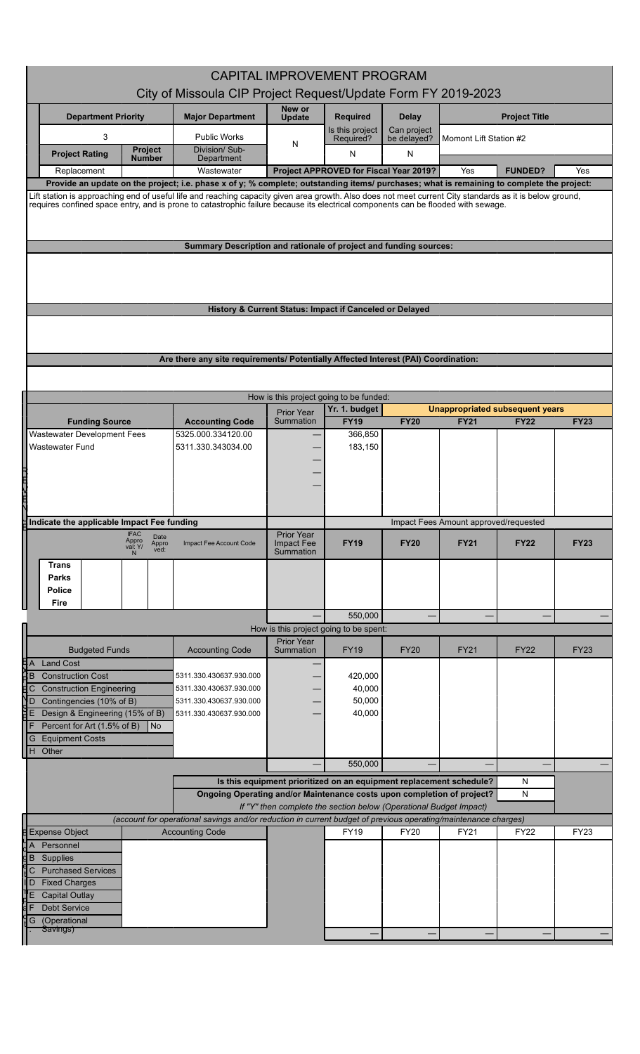|                                                                                                                                                                                                                                                                                                       |                                                                                                                | <b>CAPITAL IMPROVEMENT PROGRAM</b>                                  |                                        |                            |                                       |                                                       |             |
|-------------------------------------------------------------------------------------------------------------------------------------------------------------------------------------------------------------------------------------------------------------------------------------------------------|----------------------------------------------------------------------------------------------------------------|---------------------------------------------------------------------|----------------------------------------|----------------------------|---------------------------------------|-------------------------------------------------------|-------------|
|                                                                                                                                                                                                                                                                                                       | City of Missoula CIP Project Request/Update Form FY 2019-2023                                                  |                                                                     |                                        |                            |                                       |                                                       |             |
|                                                                                                                                                                                                                                                                                                       |                                                                                                                | New or                                                              |                                        |                            |                                       |                                                       |             |
| <b>Department Priority</b>                                                                                                                                                                                                                                                                            | <b>Major Department</b>                                                                                        | <b>Update</b>                                                       | <b>Required</b>                        | <b>Delay</b>               |                                       | <b>Project Title</b>                                  |             |
| 3                                                                                                                                                                                                                                                                                                     | <b>Public Works</b>                                                                                            | N                                                                   | Is this project<br>Required?           | Can project<br>be delayed? | Momont Lift Station #2                |                                                       |             |
| Project<br><b>Project Rating</b><br><b>Number</b>                                                                                                                                                                                                                                                     | Division/ Sub-<br>Department                                                                                   |                                                                     | N                                      | ${\sf N}$                  |                                       |                                                       |             |
| Replacement                                                                                                                                                                                                                                                                                           | Wastewater                                                                                                     |                                                                     | Project APPROVED for Fiscal Year 2019? |                            | Yes                                   | <b>FUNDED?</b>                                        | Yes         |
| Provide an update on the project; i.e. phase x of y; % complete; outstanding items/ purchases; what is remaining to complete the project:<br>Lift station is approaching end of useful life and reaching capacity given area growth. Also does not meet current City standards as it is below ground, |                                                                                                                |                                                                     |                                        |                            |                                       |                                                       |             |
| requires confined space entry, and is prone to catastrophic failure because its electrical components can be flooded with sewage.                                                                                                                                                                     |                                                                                                                |                                                                     |                                        |                            |                                       |                                                       |             |
|                                                                                                                                                                                                                                                                                                       |                                                                                                                |                                                                     |                                        |                            |                                       |                                                       |             |
|                                                                                                                                                                                                                                                                                                       | Summary Description and rationale of project and funding sources:                                              |                                                                     |                                        |                            |                                       |                                                       |             |
|                                                                                                                                                                                                                                                                                                       |                                                                                                                |                                                                     |                                        |                            |                                       |                                                       |             |
|                                                                                                                                                                                                                                                                                                       |                                                                                                                |                                                                     |                                        |                            |                                       |                                                       |             |
|                                                                                                                                                                                                                                                                                                       |                                                                                                                |                                                                     |                                        |                            |                                       |                                                       |             |
|                                                                                                                                                                                                                                                                                                       | History & Current Status: Impact if Canceled or Delayed                                                        |                                                                     |                                        |                            |                                       |                                                       |             |
|                                                                                                                                                                                                                                                                                                       |                                                                                                                |                                                                     |                                        |                            |                                       |                                                       |             |
|                                                                                                                                                                                                                                                                                                       |                                                                                                                |                                                                     |                                        |                            |                                       |                                                       |             |
|                                                                                                                                                                                                                                                                                                       | Are there any site requirements/ Potentially Affected Interest (PAI) Coordination:                             |                                                                     |                                        |                            |                                       |                                                       |             |
|                                                                                                                                                                                                                                                                                                       |                                                                                                                |                                                                     |                                        |                            |                                       |                                                       |             |
|                                                                                                                                                                                                                                                                                                       |                                                                                                                | How is this project going to be funded:                             |                                        |                            |                                       |                                                       |             |
| <b>Funding Source</b>                                                                                                                                                                                                                                                                                 | <b>Accounting Code</b>                                                                                         | Prior Year<br>Summation                                             | Yr. 1. budget<br><b>FY19</b>           | <b>FY20</b>                | <b>FY21</b>                           | <b>Unappropriated subsequent years</b><br><b>FY22</b> | <b>FY23</b> |
| Wastewater Development Fees                                                                                                                                                                                                                                                                           | 5325.000.334120.00                                                                                             |                                                                     | 366,850                                |                            |                                       |                                                       |             |
| <b>Wastewater Fund</b>                                                                                                                                                                                                                                                                                | 5311.330.343034.00                                                                                             |                                                                     | 183,150                                |                            |                                       |                                                       |             |
|                                                                                                                                                                                                                                                                                                       |                                                                                                                |                                                                     |                                        |                            |                                       |                                                       |             |
|                                                                                                                                                                                                                                                                                                       |                                                                                                                |                                                                     |                                        |                            |                                       |                                                       |             |
| 2日以日                                                                                                                                                                                                                                                                                                  |                                                                                                                |                                                                     |                                        |                            |                                       |                                                       |             |
| Hindicate the applicable Impact Fee funding                                                                                                                                                                                                                                                           |                                                                                                                |                                                                     |                                        |                            | Impact Fees Amount approved/requested |                                                       |             |
| <b>IFAC</b><br>Date                                                                                                                                                                                                                                                                                   |                                                                                                                | <b>Prior Year</b>                                                   |                                        |                            |                                       |                                                       |             |
| Appro<br>Appro<br>val: Y/<br>ved:                                                                                                                                                                                                                                                                     | Impact Fee Account Code                                                                                        | <b>Impact Fee</b><br>Summation                                      | <b>FY19</b>                            | <b>FY20</b>                | <b>FY21</b>                           | <b>FY22</b>                                           | <b>FY23</b> |
| Trans                                                                                                                                                                                                                                                                                                 |                                                                                                                |                                                                     |                                        |                            |                                       |                                                       |             |
| Parks<br><b>Police</b>                                                                                                                                                                                                                                                                                |                                                                                                                |                                                                     |                                        |                            |                                       |                                                       |             |
| Fire                                                                                                                                                                                                                                                                                                  |                                                                                                                |                                                                     |                                        |                            |                                       |                                                       |             |
|                                                                                                                                                                                                                                                                                                       |                                                                                                                |                                                                     | 550.000                                |                            |                                       |                                                       |             |
|                                                                                                                                                                                                                                                                                                       |                                                                                                                | How is this project going to be spent:<br>Prior Year                |                                        |                            |                                       |                                                       |             |
| <b>Budgeted Funds</b>                                                                                                                                                                                                                                                                                 | <b>Accounting Code</b>                                                                                         | Summation                                                           | <b>FY19</b>                            | <b>FY20</b>                | <b>FY21</b>                           | <b>FY22</b>                                           | <b>FY23</b> |
| ĦА<br><b>Land Cost</b><br>ΉВ<br><b>Construction Cost</b>                                                                                                                                                                                                                                              | 5311.330.430637.930.000                                                                                        |                                                                     | 420,000                                |                            |                                       |                                                       |             |
| <b>Construction Engineering</b><br>ĦС                                                                                                                                                                                                                                                                 | 5311.330.430637.930.000                                                                                        |                                                                     | 40,000                                 |                            |                                       |                                                       |             |
| Contingencies (10% of B)<br>ND                                                                                                                                                                                                                                                                        | 5311.330.430637.930.000                                                                                        |                                                                     | 50,000                                 |                            |                                       |                                                       |             |
| ᄩ<br>Design & Engineering (15% of B)<br>Percent for Art (1.5% of B)<br>  No                                                                                                                                                                                                                           | 5311.330.430637.930.000                                                                                        |                                                                     | 40,000                                 |                            |                                       |                                                       |             |
| <b>Equipment Costs</b><br>G                                                                                                                                                                                                                                                                           |                                                                                                                |                                                                     |                                        |                            |                                       |                                                       |             |
| H Other                                                                                                                                                                                                                                                                                               |                                                                                                                |                                                                     |                                        |                            |                                       |                                                       |             |
|                                                                                                                                                                                                                                                                                                       |                                                                                                                |                                                                     | 550,000                                |                            |                                       |                                                       |             |
|                                                                                                                                                                                                                                                                                                       |                                                                                                                | Is this equipment prioritized on an equipment replacement schedule? |                                        |                            |                                       | ${\sf N}$<br>${\sf N}$                                |             |
| Ongoing Operating and/or Maintenance costs upon completion of project?<br>If "Y" then complete the section below (Operational Budget Impact)                                                                                                                                                          |                                                                                                                |                                                                     |                                        |                            |                                       |                                                       |             |
|                                                                                                                                                                                                                                                                                                       | (account for operational savings and/or reduction in current budget of previous operating/maintenance charges) |                                                                     |                                        |                            |                                       |                                                       |             |
| <b>Expense Object</b><br>Personnel<br>ăЯ                                                                                                                                                                                                                                                              | <b>Accounting Code</b>                                                                                         |                                                                     | <b>FY19</b>                            | <b>FY20</b>                | FY21                                  | <b>FY22</b>                                           | <b>FY23</b> |
| dΒ<br>Supplies                                                                                                                                                                                                                                                                                        |                                                                                                                |                                                                     |                                        |                            |                                       |                                                       |             |
| <b>Purchased Services</b><br>С                                                                                                                                                                                                                                                                        |                                                                                                                |                                                                     |                                        |                            |                                       |                                                       |             |
| <b>Fixed Charges</b><br>ll D<br><b>Capital Outlay</b><br>Е                                                                                                                                                                                                                                            |                                                                                                                |                                                                     |                                        |                            |                                       |                                                       |             |
| <b>Debt Service</b>                                                                                                                                                                                                                                                                                   |                                                                                                                |                                                                     |                                        |                            |                                       |                                                       |             |
| (Operational<br>G<br>Savings)                                                                                                                                                                                                                                                                         |                                                                                                                |                                                                     |                                        |                            |                                       |                                                       |             |
|                                                                                                                                                                                                                                                                                                       |                                                                                                                |                                                                     |                                        |                            |                                       |                                                       |             |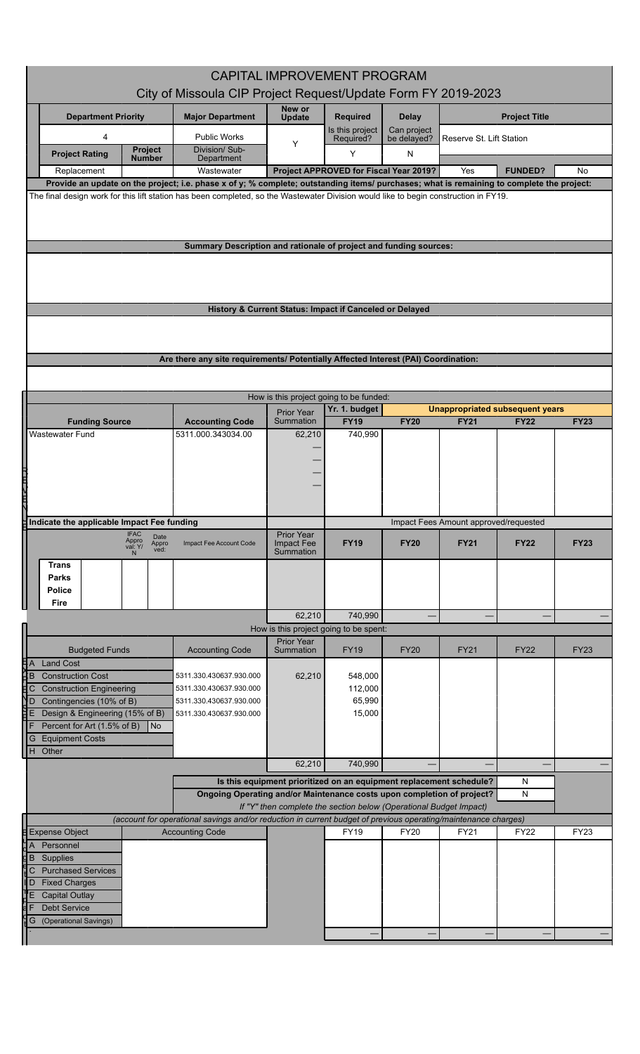| <b>CAPITAL IMPROVEMENT PROGRAM</b><br>City of Missoula CIP Project Request/Update Form FY 2019-2023<br>New or<br><b>Major Department</b><br><b>Project Title</b><br><b>Department Priority</b><br><b>Required</b><br><b>Delay</b><br><b>Update</b><br>Is this project<br>Can project<br>4<br><b>Public Works</b><br>be delayed?<br>Required?<br>Reserve St. Lift Station<br>Y<br>Division/ Sub-<br><b>Project</b><br>Y<br><b>Project Rating</b><br>N<br><b>Number</b><br>Department<br>Project APPROVED for Fiscal Year 2019?<br><b>FUNDED?</b><br>Replacement<br>Wastewater<br>Yes<br>Provide an update on the project; i.e. phase x of y; % complete; outstanding items/ purchases; what is remaining to complete the project:<br>The final design work for this lift station has been completed, so the Wastewater Division would like to begin construction in FY19.<br>Summary Description and rationale of project and funding sources:<br>History & Current Status: Impact if Canceled or Delayed<br>Are there any site requirements/ Potentially Affected Interest (PAI) Coordination:<br>How is this project going to be funded:<br>Yr. 1. budget<br><b>Unappropriated subsequent years</b><br>Prior Year<br>Summation<br><b>FY19</b><br><b>FY20</b><br><b>FY21</b><br><b>FY22</b><br><b>Funding Source</b><br><b>Accounting Code</b><br><b>Wastewater Fund</b><br>5311.000.343034.00<br>740,990<br>62,210<br>2回久田丸<br>Indicate the applicable Impact Fee funding<br>Impact Fees Amount approved/requested<br><b>IFAC</b><br><b>Prior Year</b><br>Date<br>Appro<br>val: Y/<br><b>Impact Fee</b><br><b>FY19</b><br><b>FY20</b><br><b>FY21</b><br><b>FY22</b><br>Appro<br>ved:<br>Impact Fee Account Code<br>Summation<br><b>Trans</b><br><b>Parks</b><br><b>Police</b><br>Fire<br>740,990<br>62,210<br>Π<br>How is this project going to be spent:<br><b>Prior Year</b><br><b>FY19</b><br><b>FY22</b><br><b>Accounting Code</b><br>Summation<br><b>FY20</b><br><b>FY21</b><br><b>Budgeted Funds</b><br>H A<br>H B<br>H B<br><b>Land Cost</b><br><b>Construction Cost</b><br>62,210<br>548,000<br>5311.330.430637.930.000<br>贮<br><b>Construction Engineering</b><br>112,000<br>5311.330.430637.930.000<br>ND<br>Contingencies (10% of B)<br>65,990<br>5311.330.430637.930.000<br>距<br>Design & Engineering (15% of B)<br>15,000<br>5311.330.430637.930.000<br>F<br>Percent for Art (1.5% of B)<br>I No<br><b>Equipment Costs</b><br>G<br>H Other<br>62,210<br>740,990 |
|-------------------------------------------------------------------------------------------------------------------------------------------------------------------------------------------------------------------------------------------------------------------------------------------------------------------------------------------------------------------------------------------------------------------------------------------------------------------------------------------------------------------------------------------------------------------------------------------------------------------------------------------------------------------------------------------------------------------------------------------------------------------------------------------------------------------------------------------------------------------------------------------------------------------------------------------------------------------------------------------------------------------------------------------------------------------------------------------------------------------------------------------------------------------------------------------------------------------------------------------------------------------------------------------------------------------------------------------------------------------------------------------------------------------------------------------------------------------------------------------------------------------------------------------------------------------------------------------------------------------------------------------------------------------------------------------------------------------------------------------------------------------------------------------------------------------------------------------------------------------------------------------------------------------------------------------------------------------------------------------------------------------------------------------------------------------------------------------------------------------------------------------------------------------------------------------------------------------------------------------------------------------------------------------------------------------------------------------------------------------------------------------------------------------------------------------------------------------------------|
|                                                                                                                                                                                                                                                                                                                                                                                                                                                                                                                                                                                                                                                                                                                                                                                                                                                                                                                                                                                                                                                                                                                                                                                                                                                                                                                                                                                                                                                                                                                                                                                                                                                                                                                                                                                                                                                                                                                                                                                                                                                                                                                                                                                                                                                                                                                                                                                                                                                                               |
|                                                                                                                                                                                                                                                                                                                                                                                                                                                                                                                                                                                                                                                                                                                                                                                                                                                                                                                                                                                                                                                                                                                                                                                                                                                                                                                                                                                                                                                                                                                                                                                                                                                                                                                                                                                                                                                                                                                                                                                                                                                                                                                                                                                                                                                                                                                                                                                                                                                                               |
|                                                                                                                                                                                                                                                                                                                                                                                                                                                                                                                                                                                                                                                                                                                                                                                                                                                                                                                                                                                                                                                                                                                                                                                                                                                                                                                                                                                                                                                                                                                                                                                                                                                                                                                                                                                                                                                                                                                                                                                                                                                                                                                                                                                                                                                                                                                                                                                                                                                                               |
|                                                                                                                                                                                                                                                                                                                                                                                                                                                                                                                                                                                                                                                                                                                                                                                                                                                                                                                                                                                                                                                                                                                                                                                                                                                                                                                                                                                                                                                                                                                                                                                                                                                                                                                                                                                                                                                                                                                                                                                                                                                                                                                                                                                                                                                                                                                                                                                                                                                                               |
|                                                                                                                                                                                                                                                                                                                                                                                                                                                                                                                                                                                                                                                                                                                                                                                                                                                                                                                                                                                                                                                                                                                                                                                                                                                                                                                                                                                                                                                                                                                                                                                                                                                                                                                                                                                                                                                                                                                                                                                                                                                                                                                                                                                                                                                                                                                                                                                                                                                                               |
|                                                                                                                                                                                                                                                                                                                                                                                                                                                                                                                                                                                                                                                                                                                                                                                                                                                                                                                                                                                                                                                                                                                                                                                                                                                                                                                                                                                                                                                                                                                                                                                                                                                                                                                                                                                                                                                                                                                                                                                                                                                                                                                                                                                                                                                                                                                                                                                                                                                                               |
|                                                                                                                                                                                                                                                                                                                                                                                                                                                                                                                                                                                                                                                                                                                                                                                                                                                                                                                                                                                                                                                                                                                                                                                                                                                                                                                                                                                                                                                                                                                                                                                                                                                                                                                                                                                                                                                                                                                                                                                                                                                                                                                                                                                                                                                                                                                                                                                                                                                                               |
|                                                                                                                                                                                                                                                                                                                                                                                                                                                                                                                                                                                                                                                                                                                                                                                                                                                                                                                                                                                                                                                                                                                                                                                                                                                                                                                                                                                                                                                                                                                                                                                                                                                                                                                                                                                                                                                                                                                                                                                                                                                                                                                                                                                                                                                                                                                                                                                                                                                                               |
|                                                                                                                                                                                                                                                                                                                                                                                                                                                                                                                                                                                                                                                                                                                                                                                                                                                                                                                                                                                                                                                                                                                                                                                                                                                                                                                                                                                                                                                                                                                                                                                                                                                                                                                                                                                                                                                                                                                                                                                                                                                                                                                                                                                                                                                                                                                                                                                                                                                                               |
|                                                                                                                                                                                                                                                                                                                                                                                                                                                                                                                                                                                                                                                                                                                                                                                                                                                                                                                                                                                                                                                                                                                                                                                                                                                                                                                                                                                                                                                                                                                                                                                                                                                                                                                                                                                                                                                                                                                                                                                                                                                                                                                                                                                                                                                                                                                                                                                                                                                                               |
|                                                                                                                                                                                                                                                                                                                                                                                                                                                                                                                                                                                                                                                                                                                                                                                                                                                                                                                                                                                                                                                                                                                                                                                                                                                                                                                                                                                                                                                                                                                                                                                                                                                                                                                                                                                                                                                                                                                                                                                                                                                                                                                                                                                                                                                                                                                                                                                                                                                                               |
|                                                                                                                                                                                                                                                                                                                                                                                                                                                                                                                                                                                                                                                                                                                                                                                                                                                                                                                                                                                                                                                                                                                                                                                                                                                                                                                                                                                                                                                                                                                                                                                                                                                                                                                                                                                                                                                                                                                                                                                                                                                                                                                                                                                                                                                                                                                                                                                                                                                                               |
|                                                                                                                                                                                                                                                                                                                                                                                                                                                                                                                                                                                                                                                                                                                                                                                                                                                                                                                                                                                                                                                                                                                                                                                                                                                                                                                                                                                                                                                                                                                                                                                                                                                                                                                                                                                                                                                                                                                                                                                                                                                                                                                                                                                                                                                                                                                                                                                                                                                                               |
|                                                                                                                                                                                                                                                                                                                                                                                                                                                                                                                                                                                                                                                                                                                                                                                                                                                                                                                                                                                                                                                                                                                                                                                                                                                                                                                                                                                                                                                                                                                                                                                                                                                                                                                                                                                                                                                                                                                                                                                                                                                                                                                                                                                                                                                                                                                                                                                                                                                                               |
|                                                                                                                                                                                                                                                                                                                                                                                                                                                                                                                                                                                                                                                                                                                                                                                                                                                                                                                                                                                                                                                                                                                                                                                                                                                                                                                                                                                                                                                                                                                                                                                                                                                                                                                                                                                                                                                                                                                                                                                                                                                                                                                                                                                                                                                                                                                                                                                                                                                                               |
|                                                                                                                                                                                                                                                                                                                                                                                                                                                                                                                                                                                                                                                                                                                                                                                                                                                                                                                                                                                                                                                                                                                                                                                                                                                                                                                                                                                                                                                                                                                                                                                                                                                                                                                                                                                                                                                                                                                                                                                                                                                                                                                                                                                                                                                                                                                                                                                                                                                                               |
|                                                                                                                                                                                                                                                                                                                                                                                                                                                                                                                                                                                                                                                                                                                                                                                                                                                                                                                                                                                                                                                                                                                                                                                                                                                                                                                                                                                                                                                                                                                                                                                                                                                                                                                                                                                                                                                                                                                                                                                                                                                                                                                                                                                                                                                                                                                                                                                                                                                                               |
|                                                                                                                                                                                                                                                                                                                                                                                                                                                                                                                                                                                                                                                                                                                                                                                                                                                                                                                                                                                                                                                                                                                                                                                                                                                                                                                                                                                                                                                                                                                                                                                                                                                                                                                                                                                                                                                                                                                                                                                                                                                                                                                                                                                                                                                                                                                                                                                                                                                                               |
|                                                                                                                                                                                                                                                                                                                                                                                                                                                                                                                                                                                                                                                                                                                                                                                                                                                                                                                                                                                                                                                                                                                                                                                                                                                                                                                                                                                                                                                                                                                                                                                                                                                                                                                                                                                                                                                                                                                                                                                                                                                                                                                                                                                                                                                                                                                                                                                                                                                                               |
|                                                                                                                                                                                                                                                                                                                                                                                                                                                                                                                                                                                                                                                                                                                                                                                                                                                                                                                                                                                                                                                                                                                                                                                                                                                                                                                                                                                                                                                                                                                                                                                                                                                                                                                                                                                                                                                                                                                                                                                                                                                                                                                                                                                                                                                                                                                                                                                                                                                                               |
|                                                                                                                                                                                                                                                                                                                                                                                                                                                                                                                                                                                                                                                                                                                                                                                                                                                                                                                                                                                                                                                                                                                                                                                                                                                                                                                                                                                                                                                                                                                                                                                                                                                                                                                                                                                                                                                                                                                                                                                                                                                                                                                                                                                                                                                                                                                                                                                                                                                                               |
|                                                                                                                                                                                                                                                                                                                                                                                                                                                                                                                                                                                                                                                                                                                                                                                                                                                                                                                                                                                                                                                                                                                                                                                                                                                                                                                                                                                                                                                                                                                                                                                                                                                                                                                                                                                                                                                                                                                                                                                                                                                                                                                                                                                                                                                                                                                                                                                                                                                                               |
|                                                                                                                                                                                                                                                                                                                                                                                                                                                                                                                                                                                                                                                                                                                                                                                                                                                                                                                                                                                                                                                                                                                                                                                                                                                                                                                                                                                                                                                                                                                                                                                                                                                                                                                                                                                                                                                                                                                                                                                                                                                                                                                                                                                                                                                                                                                                                                                                                                                                               |
|                                                                                                                                                                                                                                                                                                                                                                                                                                                                                                                                                                                                                                                                                                                                                                                                                                                                                                                                                                                                                                                                                                                                                                                                                                                                                                                                                                                                                                                                                                                                                                                                                                                                                                                                                                                                                                                                                                                                                                                                                                                                                                                                                                                                                                                                                                                                                                                                                                                                               |
|                                                                                                                                                                                                                                                                                                                                                                                                                                                                                                                                                                                                                                                                                                                                                                                                                                                                                                                                                                                                                                                                                                                                                                                                                                                                                                                                                                                                                                                                                                                                                                                                                                                                                                                                                                                                                                                                                                                                                                                                                                                                                                                                                                                                                                                                                                                                                                                                                                                                               |
|                                                                                                                                                                                                                                                                                                                                                                                                                                                                                                                                                                                                                                                                                                                                                                                                                                                                                                                                                                                                                                                                                                                                                                                                                                                                                                                                                                                                                                                                                                                                                                                                                                                                                                                                                                                                                                                                                                                                                                                                                                                                                                                                                                                                                                                                                                                                                                                                                                                                               |
|                                                                                                                                                                                                                                                                                                                                                                                                                                                                                                                                                                                                                                                                                                                                                                                                                                                                                                                                                                                                                                                                                                                                                                                                                                                                                                                                                                                                                                                                                                                                                                                                                                                                                                                                                                                                                                                                                                                                                                                                                                                                                                                                                                                                                                                                                                                                                                                                                                                                               |
|                                                                                                                                                                                                                                                                                                                                                                                                                                                                                                                                                                                                                                                                                                                                                                                                                                                                                                                                                                                                                                                                                                                                                                                                                                                                                                                                                                                                                                                                                                                                                                                                                                                                                                                                                                                                                                                                                                                                                                                                                                                                                                                                                                                                                                                                                                                                                                                                                                                                               |
|                                                                                                                                                                                                                                                                                                                                                                                                                                                                                                                                                                                                                                                                                                                                                                                                                                                                                                                                                                                                                                                                                                                                                                                                                                                                                                                                                                                                                                                                                                                                                                                                                                                                                                                                                                                                                                                                                                                                                                                                                                                                                                                                                                                                                                                                                                                                                                                                                                                                               |
|                                                                                                                                                                                                                                                                                                                                                                                                                                                                                                                                                                                                                                                                                                                                                                                                                                                                                                                                                                                                                                                                                                                                                                                                                                                                                                                                                                                                                                                                                                                                                                                                                                                                                                                                                                                                                                                                                                                                                                                                                                                                                                                                                                                                                                                                                                                                                                                                                                                                               |
|                                                                                                                                                                                                                                                                                                                                                                                                                                                                                                                                                                                                                                                                                                                                                                                                                                                                                                                                                                                                                                                                                                                                                                                                                                                                                                                                                                                                                                                                                                                                                                                                                                                                                                                                                                                                                                                                                                                                                                                                                                                                                                                                                                                                                                                                                                                                                                                                                                                                               |
|                                                                                                                                                                                                                                                                                                                                                                                                                                                                                                                                                                                                                                                                                                                                                                                                                                                                                                                                                                                                                                                                                                                                                                                                                                                                                                                                                                                                                                                                                                                                                                                                                                                                                                                                                                                                                                                                                                                                                                                                                                                                                                                                                                                                                                                                                                                                                                                                                                                                               |
|                                                                                                                                                                                                                                                                                                                                                                                                                                                                                                                                                                                                                                                                                                                                                                                                                                                                                                                                                                                                                                                                                                                                                                                                                                                                                                                                                                                                                                                                                                                                                                                                                                                                                                                                                                                                                                                                                                                                                                                                                                                                                                                                                                                                                                                                                                                                                                                                                                                                               |
|                                                                                                                                                                                                                                                                                                                                                                                                                                                                                                                                                                                                                                                                                                                                                                                                                                                                                                                                                                                                                                                                                                                                                                                                                                                                                                                                                                                                                                                                                                                                                                                                                                                                                                                                                                                                                                                                                                                                                                                                                                                                                                                                                                                                                                                                                                                                                                                                                                                                               |
|                                                                                                                                                                                                                                                                                                                                                                                                                                                                                                                                                                                                                                                                                                                                                                                                                                                                                                                                                                                                                                                                                                                                                                                                                                                                                                                                                                                                                                                                                                                                                                                                                                                                                                                                                                                                                                                                                                                                                                                                                                                                                                                                                                                                                                                                                                                                                                                                                                                                               |
|                                                                                                                                                                                                                                                                                                                                                                                                                                                                                                                                                                                                                                                                                                                                                                                                                                                                                                                                                                                                                                                                                                                                                                                                                                                                                                                                                                                                                                                                                                                                                                                                                                                                                                                                                                                                                                                                                                                                                                                                                                                                                                                                                                                                                                                                                                                                                                                                                                                                               |
|                                                                                                                                                                                                                                                                                                                                                                                                                                                                                                                                                                                                                                                                                                                                                                                                                                                                                                                                                                                                                                                                                                                                                                                                                                                                                                                                                                                                                                                                                                                                                                                                                                                                                                                                                                                                                                                                                                                                                                                                                                                                                                                                                                                                                                                                                                                                                                                                                                                                               |
|                                                                                                                                                                                                                                                                                                                                                                                                                                                                                                                                                                                                                                                                                                                                                                                                                                                                                                                                                                                                                                                                                                                                                                                                                                                                                                                                                                                                                                                                                                                                                                                                                                                                                                                                                                                                                                                                                                                                                                                                                                                                                                                                                                                                                                                                                                                                                                                                                                                                               |
|                                                                                                                                                                                                                                                                                                                                                                                                                                                                                                                                                                                                                                                                                                                                                                                                                                                                                                                                                                                                                                                                                                                                                                                                                                                                                                                                                                                                                                                                                                                                                                                                                                                                                                                                                                                                                                                                                                                                                                                                                                                                                                                                                                                                                                                                                                                                                                                                                                                                               |
|                                                                                                                                                                                                                                                                                                                                                                                                                                                                                                                                                                                                                                                                                                                                                                                                                                                                                                                                                                                                                                                                                                                                                                                                                                                                                                                                                                                                                                                                                                                                                                                                                                                                                                                                                                                                                                                                                                                                                                                                                                                                                                                                                                                                                                                                                                                                                                                                                                                                               |
|                                                                                                                                                                                                                                                                                                                                                                                                                                                                                                                                                                                                                                                                                                                                                                                                                                                                                                                                                                                                                                                                                                                                                                                                                                                                                                                                                                                                                                                                                                                                                                                                                                                                                                                                                                                                                                                                                                                                                                                                                                                                                                                                                                                                                                                                                                                                                                                                                                                                               |
|                                                                                                                                                                                                                                                                                                                                                                                                                                                                                                                                                                                                                                                                                                                                                                                                                                                                                                                                                                                                                                                                                                                                                                                                                                                                                                                                                                                                                                                                                                                                                                                                                                                                                                                                                                                                                                                                                                                                                                                                                                                                                                                                                                                                                                                                                                                                                                                                                                                                               |
|                                                                                                                                                                                                                                                                                                                                                                                                                                                                                                                                                                                                                                                                                                                                                                                                                                                                                                                                                                                                                                                                                                                                                                                                                                                                                                                                                                                                                                                                                                                                                                                                                                                                                                                                                                                                                                                                                                                                                                                                                                                                                                                                                                                                                                                                                                                                                                                                                                                                               |
|                                                                                                                                                                                                                                                                                                                                                                                                                                                                                                                                                                                                                                                                                                                                                                                                                                                                                                                                                                                                                                                                                                                                                                                                                                                                                                                                                                                                                                                                                                                                                                                                                                                                                                                                                                                                                                                                                                                                                                                                                                                                                                                                                                                                                                                                                                                                                                                                                                                                               |
|                                                                                                                                                                                                                                                                                                                                                                                                                                                                                                                                                                                                                                                                                                                                                                                                                                                                                                                                                                                                                                                                                                                                                                                                                                                                                                                                                                                                                                                                                                                                                                                                                                                                                                                                                                                                                                                                                                                                                                                                                                                                                                                                                                                                                                                                                                                                                                                                                                                                               |
|                                                                                                                                                                                                                                                                                                                                                                                                                                                                                                                                                                                                                                                                                                                                                                                                                                                                                                                                                                                                                                                                                                                                                                                                                                                                                                                                                                                                                                                                                                                                                                                                                                                                                                                                                                                                                                                                                                                                                                                                                                                                                                                                                                                                                                                                                                                                                                                                                                                                               |
|                                                                                                                                                                                                                                                                                                                                                                                                                                                                                                                                                                                                                                                                                                                                                                                                                                                                                                                                                                                                                                                                                                                                                                                                                                                                                                                                                                                                                                                                                                                                                                                                                                                                                                                                                                                                                                                                                                                                                                                                                                                                                                                                                                                                                                                                                                                                                                                                                                                                               |
|                                                                                                                                                                                                                                                                                                                                                                                                                                                                                                                                                                                                                                                                                                                                                                                                                                                                                                                                                                                                                                                                                                                                                                                                                                                                                                                                                                                                                                                                                                                                                                                                                                                                                                                                                                                                                                                                                                                                                                                                                                                                                                                                                                                                                                                                                                                                                                                                                                                                               |
| Is this equipment prioritized on an equipment replacement schedule?<br>N                                                                                                                                                                                                                                                                                                                                                                                                                                                                                                                                                                                                                                                                                                                                                                                                                                                                                                                                                                                                                                                                                                                                                                                                                                                                                                                                                                                                                                                                                                                                                                                                                                                                                                                                                                                                                                                                                                                                                                                                                                                                                                                                                                                                                                                                                                                                                                                                      |
| Ongoing Operating and/or Maintenance costs upon completion of project?<br>N<br>If "Y" then complete the section below (Operational Budget Impact)                                                                                                                                                                                                                                                                                                                                                                                                                                                                                                                                                                                                                                                                                                                                                                                                                                                                                                                                                                                                                                                                                                                                                                                                                                                                                                                                                                                                                                                                                                                                                                                                                                                                                                                                                                                                                                                                                                                                                                                                                                                                                                                                                                                                                                                                                                                             |
| (account for operational savings and/or reduction in current budget of previous operating/maintenance charges)                                                                                                                                                                                                                                                                                                                                                                                                                                                                                                                                                                                                                                                                                                                                                                                                                                                                                                                                                                                                                                                                                                                                                                                                                                                                                                                                                                                                                                                                                                                                                                                                                                                                                                                                                                                                                                                                                                                                                                                                                                                                                                                                                                                                                                                                                                                                                                |
| <b>Expense Object</b><br><b>FY19</b><br><b>FY20</b><br>FY21<br><b>FY22</b><br><b>Accounting Code</b>                                                                                                                                                                                                                                                                                                                                                                                                                                                                                                                                                                                                                                                                                                                                                                                                                                                                                                                                                                                                                                                                                                                                                                                                                                                                                                                                                                                                                                                                                                                                                                                                                                                                                                                                                                                                                                                                                                                                                                                                                                                                                                                                                                                                                                                                                                                                                                          |
| Personnel<br>A                                                                                                                                                                                                                                                                                                                                                                                                                                                                                                                                                                                                                                                                                                                                                                                                                                                                                                                                                                                                                                                                                                                                                                                                                                                                                                                                                                                                                                                                                                                                                                                                                                                                                                                                                                                                                                                                                                                                                                                                                                                                                                                                                                                                                                                                                                                                                                                                                                                                |
| <b>B</b> Supplies                                                                                                                                                                                                                                                                                                                                                                                                                                                                                                                                                                                                                                                                                                                                                                                                                                                                                                                                                                                                                                                                                                                                                                                                                                                                                                                                                                                                                                                                                                                                                                                                                                                                                                                                                                                                                                                                                                                                                                                                                                                                                                                                                                                                                                                                                                                                                                                                                                                             |
|                                                                                                                                                                                                                                                                                                                                                                                                                                                                                                                                                                                                                                                                                                                                                                                                                                                                                                                                                                                                                                                                                                                                                                                                                                                                                                                                                                                                                                                                                                                                                                                                                                                                                                                                                                                                                                                                                                                                                                                                                                                                                                                                                                                                                                                                                                                                                                                                                                                                               |
| <b>Purchased Services</b><br>C                                                                                                                                                                                                                                                                                                                                                                                                                                                                                                                                                                                                                                                                                                                                                                                                                                                                                                                                                                                                                                                                                                                                                                                                                                                                                                                                                                                                                                                                                                                                                                                                                                                                                                                                                                                                                                                                                                                                                                                                                                                                                                                                                                                                                                                                                                                                                                                                                                                |
| <b>Fixed Charges</b><br>D                                                                                                                                                                                                                                                                                                                                                                                                                                                                                                                                                                                                                                                                                                                                                                                                                                                                                                                                                                                                                                                                                                                                                                                                                                                                                                                                                                                                                                                                                                                                                                                                                                                                                                                                                                                                                                                                                                                                                                                                                                                                                                                                                                                                                                                                                                                                                                                                                                                     |
| <b>Capital Outlay</b><br>Е<br><b>Debt Service</b>                                                                                                                                                                                                                                                                                                                                                                                                                                                                                                                                                                                                                                                                                                                                                                                                                                                                                                                                                                                                                                                                                                                                                                                                                                                                                                                                                                                                                                                                                                                                                                                                                                                                                                                                                                                                                                                                                                                                                                                                                                                                                                                                                                                                                                                                                                                                                                                                                             |
| (Operational Savings)<br>G                                                                                                                                                                                                                                                                                                                                                                                                                                                                                                                                                                                                                                                                                                                                                                                                                                                                                                                                                                                                                                                                                                                                                                                                                                                                                                                                                                                                                                                                                                                                                                                                                                                                                                                                                                                                                                                                                                                                                                                                                                                                                                                                                                                                                                                                                                                                                                                                                                                    |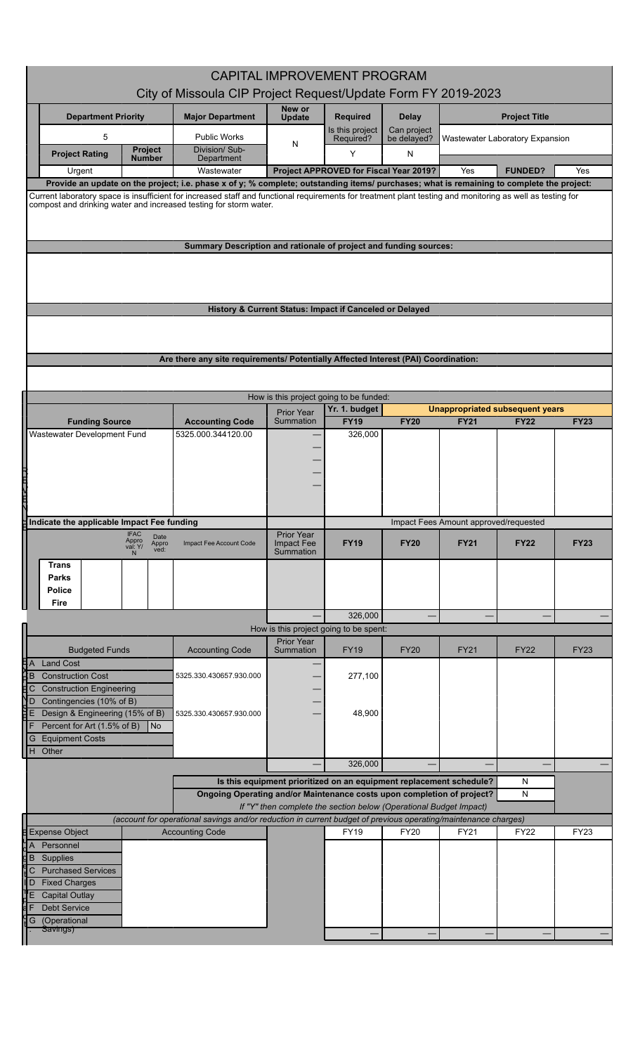| <b>CAPITAL IMPROVEMENT PROGRAM</b><br>City of Missoula CIP Project Request/Update Form FY 2019-2023                                                                                                                                                                                                  |                                                                                                                                               |                                         |                                        |                  |                                       |                                        |             |  |
|------------------------------------------------------------------------------------------------------------------------------------------------------------------------------------------------------------------------------------------------------------------------------------------------------|-----------------------------------------------------------------------------------------------------------------------------------------------|-----------------------------------------|----------------------------------------|------------------|---------------------------------------|----------------------------------------|-------------|--|
| <b>Department Priority</b>                                                                                                                                                                                                                                                                           | <b>Major Department</b>                                                                                                                       | New or<br><b>Update</b>                 | <b>Required</b>                        | <b>Delay</b>     |                                       | <b>Project Title</b>                   |             |  |
| 5                                                                                                                                                                                                                                                                                                    | <b>Public Works</b>                                                                                                                           |                                         | Is this project                        | Can project      |                                       |                                        |             |  |
| <b>Project</b><br><b>Project Rating</b>                                                                                                                                                                                                                                                              | Division/Sub-                                                                                                                                 | N                                       | Required?<br>Y                         | be delayed?<br>N |                                       | Wastewater Laboratory Expansion        |             |  |
| Number<br>Urgent                                                                                                                                                                                                                                                                                     | Department<br>Wastewater                                                                                                                      |                                         | Project APPROVED for Fiscal Year 2019? |                  | Yes                                   | <b>FUNDED?</b>                         | Yes         |  |
| Provide an update on the project; i.e. phase x of y; % complete; outstanding items/ purchases; what is remaining to complete the project:                                                                                                                                                            |                                                                                                                                               |                                         |                                        |                  |                                       |                                        |             |  |
| Current laboratory space is insufficient for increased staff and functional requirements for treatment plant testing and monitoring as well as testing for<br>compost and drinking water and increased testing for storm water.<br>Summary Description and rationale of project and funding sources: |                                                                                                                                               |                                         |                                        |                  |                                       |                                        |             |  |
|                                                                                                                                                                                                                                                                                                      |                                                                                                                                               |                                         |                                        |                  |                                       |                                        |             |  |
|                                                                                                                                                                                                                                                                                                      |                                                                                                                                               |                                         |                                        |                  |                                       |                                        |             |  |
|                                                                                                                                                                                                                                                                                                      | History & Current Status: Impact if Canceled or Delayed                                                                                       |                                         |                                        |                  |                                       |                                        |             |  |
|                                                                                                                                                                                                                                                                                                      |                                                                                                                                               |                                         |                                        |                  |                                       |                                        |             |  |
|                                                                                                                                                                                                                                                                                                      | Are there any site requirements/ Potentially Affected Interest (PAI) Coordination:                                                            |                                         |                                        |                  |                                       |                                        |             |  |
|                                                                                                                                                                                                                                                                                                      |                                                                                                                                               |                                         |                                        |                  |                                       |                                        |             |  |
|                                                                                                                                                                                                                                                                                                      |                                                                                                                                               | How is this project going to be funded: |                                        |                  |                                       |                                        |             |  |
|                                                                                                                                                                                                                                                                                                      |                                                                                                                                               | <b>Prior Year</b>                       | Yr. 1. budget                          |                  |                                       | <b>Unappropriated subsequent years</b> |             |  |
| <b>Funding Source</b>                                                                                                                                                                                                                                                                                | <b>Accounting Code</b>                                                                                                                        | Summation                               | <b>FY19</b>                            | <b>FY20</b>      | <b>FY21</b>                           | <b>FY22</b>                            | <b>FY23</b> |  |
| Wastewater Development Fund                                                                                                                                                                                                                                                                          | 5325.000.344120.00                                                                                                                            |                                         | 326,000                                |                  |                                       |                                        |             |  |
|                                                                                                                                                                                                                                                                                                      |                                                                                                                                               |                                         |                                        |                  |                                       |                                        |             |  |
|                                                                                                                                                                                                                                                                                                      |                                                                                                                                               |                                         |                                        |                  |                                       |                                        |             |  |
| <b>THE HILL</b>                                                                                                                                                                                                                                                                                      |                                                                                                                                               |                                         |                                        |                  |                                       |                                        |             |  |
|                                                                                                                                                                                                                                                                                                      |                                                                                                                                               |                                         |                                        |                  |                                       |                                        |             |  |
| Indicate the applicable Impact Fee funding<br><b>IFAC</b>                                                                                                                                                                                                                                            |                                                                                                                                               | <b>Prior Year</b>                       |                                        |                  | Impact Fees Amount approved/requested |                                        |             |  |
| Date<br>Appro<br>Appro<br>val: Y/<br>ved:<br><b>Trans</b>                                                                                                                                                                                                                                            | Impact Fee Account Code                                                                                                                       | Impact Fee<br>Summation                 | <b>FY19</b>                            | <b>FY20</b>      | <b>FY21</b>                           | <b>FY22</b>                            | <b>FY23</b> |  |
| <b>Parks</b>                                                                                                                                                                                                                                                                                         |                                                                                                                                               |                                         |                                        |                  |                                       |                                        |             |  |
| Police                                                                                                                                                                                                                                                                                               |                                                                                                                                               |                                         |                                        |                  |                                       |                                        |             |  |
| Fire                                                                                                                                                                                                                                                                                                 |                                                                                                                                               |                                         | 326,000                                |                  |                                       |                                        |             |  |
|                                                                                                                                                                                                                                                                                                      |                                                                                                                                               | How is this project going to be spent:  |                                        |                  |                                       |                                        |             |  |
| <b>Budgeted Funds</b>                                                                                                                                                                                                                                                                                | <b>Accounting Code</b>                                                                                                                        | <b>Prior Year</b><br>Summation          | <b>FY19</b>                            | <b>FY20</b>      | <b>FY21</b>                           | <b>FY22</b>                            | <b>FY23</b> |  |
| <b>Land Cost</b>                                                                                                                                                                                                                                                                                     |                                                                                                                                               |                                         |                                        |                  |                                       |                                        |             |  |
| <b>Construction Cost</b><br><b>Construction Engineering</b>                                                                                                                                                                                                                                          | 5325.330.430657.930.000                                                                                                                       |                                         | 277,100                                |                  |                                       |                                        |             |  |
| ᅕᇛᅛᇢᇓ<br>Contingencies (10% of B)                                                                                                                                                                                                                                                                    |                                                                                                                                               |                                         |                                        |                  |                                       |                                        |             |  |
| Design & Engineering (15% of B)<br>IIF.<br>Percent for Art (1.5% of B)<br>$\overline{\phantom{a}}$ No                                                                                                                                                                                                | 5325.330.430657.930.000                                                                                                                       |                                         | 48,900                                 |                  |                                       |                                        |             |  |
| <b>Equipment Costs</b><br>IG.                                                                                                                                                                                                                                                                        |                                                                                                                                               |                                         |                                        |                  |                                       |                                        |             |  |
| H Other                                                                                                                                                                                                                                                                                              |                                                                                                                                               |                                         |                                        |                  |                                       |                                        |             |  |
|                                                                                                                                                                                                                                                                                                      |                                                                                                                                               | 326,000                                 |                                        |                  | N                                     |                                        |             |  |
|                                                                                                                                                                                                                                                                                                      | Is this equipment prioritized on an equipment replacement schedule?<br>Ongoing Operating and/or Maintenance costs upon completion of project? |                                         |                                        |                  | ${\sf N}$                             |                                        |             |  |
| If "Y" then complete the section below (Operational Budget Impact)<br>(account for operational savings and/or reduction in current budget of previous operating/maintenance charges)                                                                                                                 |                                                                                                                                               |                                         |                                        |                  |                                       |                                        |             |  |
| <b>Expense Object</b><br><b>Accounting Code</b>                                                                                                                                                                                                                                                      |                                                                                                                                               | FY19                                    | FY20                                   | FY21             | <b>FY22</b>                           | FY23                                   |             |  |
| $A$ Personnel                                                                                                                                                                                                                                                                                        |                                                                                                                                               |                                         |                                        |                  |                                       |                                        |             |  |
| $\sqrt{B}$<br>Supplies<br>$\mathsf{C}$<br><b>Purchased Services</b>                                                                                                                                                                                                                                  |                                                                                                                                               |                                         |                                        |                  |                                       |                                        |             |  |
| <b>Fixed Charges</b><br>D                                                                                                                                                                                                                                                                            |                                                                                                                                               |                                         |                                        |                  |                                       |                                        |             |  |
| <b>Capital Outlay</b>                                                                                                                                                                                                                                                                                |                                                                                                                                               |                                         |                                        |                  |                                       |                                        |             |  |
| 4F<br><b>Debt Service</b><br>G<br>(Operational                                                                                                                                                                                                                                                       |                                                                                                                                               |                                         |                                        |                  |                                       |                                        |             |  |
| <del>Savings)</del>                                                                                                                                                                                                                                                                                  |                                                                                                                                               |                                         |                                        |                  |                                       |                                        |             |  |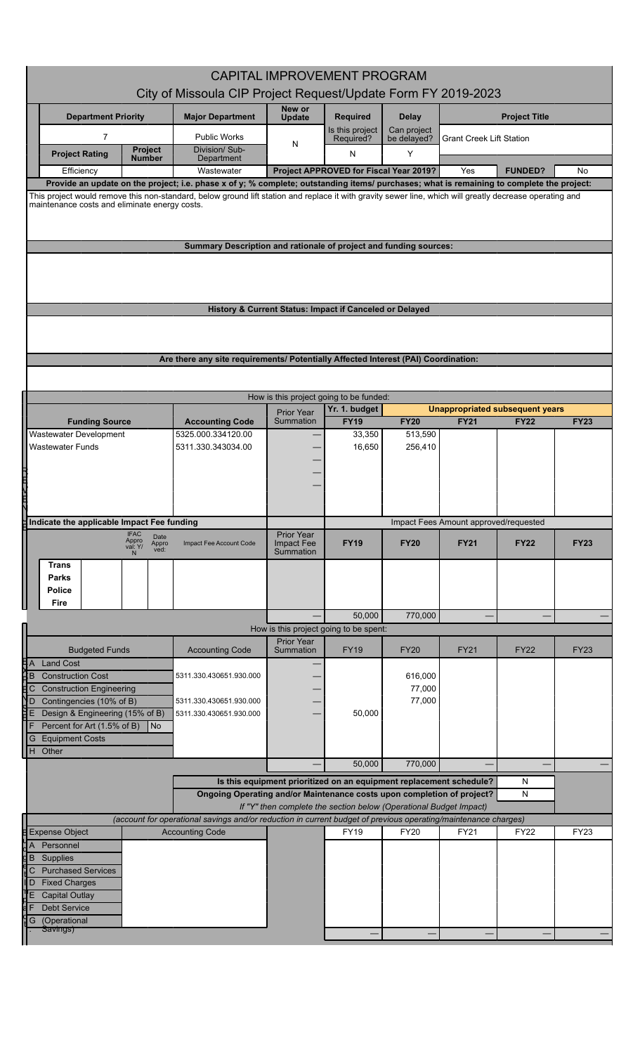| <b>CAPITAL IMPROVEMENT PROGRAM</b><br>City of Missoula CIP Project Request/Update Form FY 2019-2023                                                                                                                                                                                                   |                                                                                    |                                                                     |                                        |                            |                                       |                                                       |             |
|-------------------------------------------------------------------------------------------------------------------------------------------------------------------------------------------------------------------------------------------------------------------------------------------------------|------------------------------------------------------------------------------------|---------------------------------------------------------------------|----------------------------------------|----------------------------|---------------------------------------|-------------------------------------------------------|-------------|
|                                                                                                                                                                                                                                                                                                       |                                                                                    | New or                                                              |                                        |                            |                                       |                                                       |             |
| <b>Department Priority</b>                                                                                                                                                                                                                                                                            | <b>Major Department</b>                                                            | <b>Update</b>                                                       | <b>Required</b>                        | <b>Delay</b>               |                                       | <b>Project Title</b>                                  |             |
| 7                                                                                                                                                                                                                                                                                                     | <b>Public Works</b>                                                                | N                                                                   | Is this project<br>Required?           | Can project<br>be delayed? | <b>Grant Creek Lift Station</b>       |                                                       |             |
| <b>Project</b><br><b>Project Rating</b><br><b>Number</b>                                                                                                                                                                                                                                              | Division/ Sub-<br>Department                                                       |                                                                     | N                                      | Y                          |                                       |                                                       |             |
| Efficiency                                                                                                                                                                                                                                                                                            | Wastewater                                                                         |                                                                     | Project APPROVED for Fiscal Year 2019? |                            | Yes                                   | <b>FUNDED?</b>                                        | <b>No</b>   |
| Provide an update on the project; i.e. phase x of y; % complete; outstanding items/ purchases; what is remaining to complete the project:<br>This project would remove this non-standard, below ground lift station and replace it with gravity sewer line, which will greatly decrease operating and |                                                                                    |                                                                     |                                        |                            |                                       |                                                       |             |
| maintenance costs and eliminate energy costs.                                                                                                                                                                                                                                                         |                                                                                    |                                                                     |                                        |                            |                                       |                                                       |             |
|                                                                                                                                                                                                                                                                                                       |                                                                                    |                                                                     |                                        |                            |                                       |                                                       |             |
|                                                                                                                                                                                                                                                                                                       | Summary Description and rationale of project and funding sources:                  |                                                                     |                                        |                            |                                       |                                                       |             |
|                                                                                                                                                                                                                                                                                                       |                                                                                    |                                                                     |                                        |                            |                                       |                                                       |             |
|                                                                                                                                                                                                                                                                                                       |                                                                                    |                                                                     |                                        |                            |                                       |                                                       |             |
|                                                                                                                                                                                                                                                                                                       |                                                                                    |                                                                     |                                        |                            |                                       |                                                       |             |
|                                                                                                                                                                                                                                                                                                       | History & Current Status: Impact if Canceled or Delayed                            |                                                                     |                                        |                            |                                       |                                                       |             |
|                                                                                                                                                                                                                                                                                                       |                                                                                    |                                                                     |                                        |                            |                                       |                                                       |             |
|                                                                                                                                                                                                                                                                                                       |                                                                                    |                                                                     |                                        |                            |                                       |                                                       |             |
|                                                                                                                                                                                                                                                                                                       | Are there any site requirements/ Potentially Affected Interest (PAI) Coordination: |                                                                     |                                        |                            |                                       |                                                       |             |
|                                                                                                                                                                                                                                                                                                       |                                                                                    |                                                                     |                                        |                            |                                       |                                                       |             |
|                                                                                                                                                                                                                                                                                                       |                                                                                    | How is this project going to be funded:                             |                                        |                            |                                       |                                                       |             |
| <b>Funding Source</b>                                                                                                                                                                                                                                                                                 | <b>Accounting Code</b>                                                             | Prior Year<br>Summation                                             | Yr. 1. budget<br><b>FY19</b>           | <b>FY20</b>                | <b>FY21</b>                           | <b>Unappropriated subsequent years</b><br><b>FY22</b> | <b>FY23</b> |
| Wastewater Development                                                                                                                                                                                                                                                                                | 5325.000.334120.00                                                                 |                                                                     | 33,350                                 | 513,590                    |                                       |                                                       |             |
| Wastewater Funds                                                                                                                                                                                                                                                                                      | 5311.330.343034.00                                                                 |                                                                     | 16,650                                 | 256,410                    |                                       |                                                       |             |
|                                                                                                                                                                                                                                                                                                       |                                                                                    |                                                                     |                                        |                            |                                       |                                                       |             |
|                                                                                                                                                                                                                                                                                                       |                                                                                    |                                                                     |                                        |                            |                                       |                                                       |             |
| 二世八世九                                                                                                                                                                                                                                                                                                 |                                                                                    |                                                                     |                                        |                            |                                       |                                                       |             |
| Indicate the applicable Impact Fee funding                                                                                                                                                                                                                                                            |                                                                                    |                                                                     |                                        |                            | Impact Fees Amount approved/requested |                                                       |             |
| IFAC<br>Appro<br>val: Y/<br>Date                                                                                                                                                                                                                                                                      |                                                                                    | Prior Year                                                          |                                        |                            |                                       |                                                       |             |
| Appro<br>ved:                                                                                                                                                                                                                                                                                         | Impact Fee Account Code                                                            | <b>Impact Fee</b><br>Summation                                      | <b>FY19</b>                            | <b>FY20</b>                | <b>FY21</b>                           | <b>FY22</b>                                           | <b>FY23</b> |
| Trans                                                                                                                                                                                                                                                                                                 |                                                                                    |                                                                     |                                        |                            |                                       |                                                       |             |
| Parks<br><b>Police</b>                                                                                                                                                                                                                                                                                |                                                                                    |                                                                     |                                        |                            |                                       |                                                       |             |
| Fire                                                                                                                                                                                                                                                                                                  |                                                                                    |                                                                     |                                        |                            |                                       |                                                       |             |
|                                                                                                                                                                                                                                                                                                       |                                                                                    |                                                                     | 50,000                                 | 770,000                    |                                       |                                                       |             |
|                                                                                                                                                                                                                                                                                                       |                                                                                    | How is this project going to be spent:<br><b>Prior Year</b>         |                                        |                            |                                       |                                                       |             |
| <b>Budgeted Funds</b>                                                                                                                                                                                                                                                                                 | <b>Accounting Code</b>                                                             | Summation                                                           | <b>FY19</b>                            | <b>FY20</b>                | <b>FY21</b>                           | <b>FY22</b>                                           | <b>FY23</b> |
| Ę∣A<br><b>Land Cost</b><br><b>Construction Cost</b><br>HВ                                                                                                                                                                                                                                             | 5311.330.430651.930.000                                                            |                                                                     |                                        | 616,000                    |                                       |                                                       |             |
| <b>Construction Engineering</b><br>C.                                                                                                                                                                                                                                                                 |                                                                                    |                                                                     |                                        | 77,000                     |                                       |                                                       |             |
| Contingencies (10% of B)<br>ND<br>Design & Engineering (15% of B)                                                                                                                                                                                                                                     | 5311.330.430651.930.000                                                            |                                                                     |                                        | 77,000                     |                                       |                                                       |             |
| Percent for Art (1.5% of B)<br>l No                                                                                                                                                                                                                                                                   | 5311.330.430651.930.000                                                            |                                                                     | 50,000                                 |                            |                                       |                                                       |             |
| <b>Equipment Costs</b><br>G                                                                                                                                                                                                                                                                           |                                                                                    |                                                                     |                                        |                            |                                       |                                                       |             |
| Other<br>H                                                                                                                                                                                                                                                                                            |                                                                                    |                                                                     | 50,000                                 | 770,000                    |                                       |                                                       |             |
|                                                                                                                                                                                                                                                                                                       |                                                                                    |                                                                     |                                        |                            |                                       |                                                       |             |
|                                                                                                                                                                                                                                                                                                       | Ongoing Operating and/or Maintenance costs upon completion of project?             | Is this equipment prioritized on an equipment replacement schedule? |                                        |                            |                                       | N<br>${\sf N}$                                        |             |
| If "Y" then complete the section below (Operational Budget Impact)<br>(account for operational savings and/or reduction in current budget of previous operating/maintenance charges)                                                                                                                  |                                                                                    |                                                                     |                                        |                            |                                       |                                                       |             |
| <b>Expense Object</b>                                                                                                                                                                                                                                                                                 | <b>Accounting Code</b>                                                             |                                                                     | <b>FY19</b>                            | FY20                       | FY21                                  | FY22                                                  | <b>FY23</b> |
| Personnel<br>A                                                                                                                                                                                                                                                                                        |                                                                                    |                                                                     |                                        |                            |                                       |                                                       |             |
| <b>B</b> Supplies                                                                                                                                                                                                                                                                                     |                                                                                    |                                                                     |                                        |                            |                                       |                                                       |             |
| <b>Purchased Services</b><br>C.<br>D Fixed Charges                                                                                                                                                                                                                                                    |                                                                                    |                                                                     |                                        |                            |                                       |                                                       |             |
| <b>Capital Outlay</b><br>Έ                                                                                                                                                                                                                                                                            |                                                                                    |                                                                     |                                        |                            |                                       |                                                       |             |
| <b>Debt Service</b>                                                                                                                                                                                                                                                                                   |                                                                                    |                                                                     |                                        |                            |                                       |                                                       |             |
| (Operational<br>G<br>Savings)                                                                                                                                                                                                                                                                         |                                                                                    |                                                                     |                                        |                            |                                       |                                                       |             |
|                                                                                                                                                                                                                                                                                                       |                                                                                    |                                                                     |                                        |                            |                                       |                                                       |             |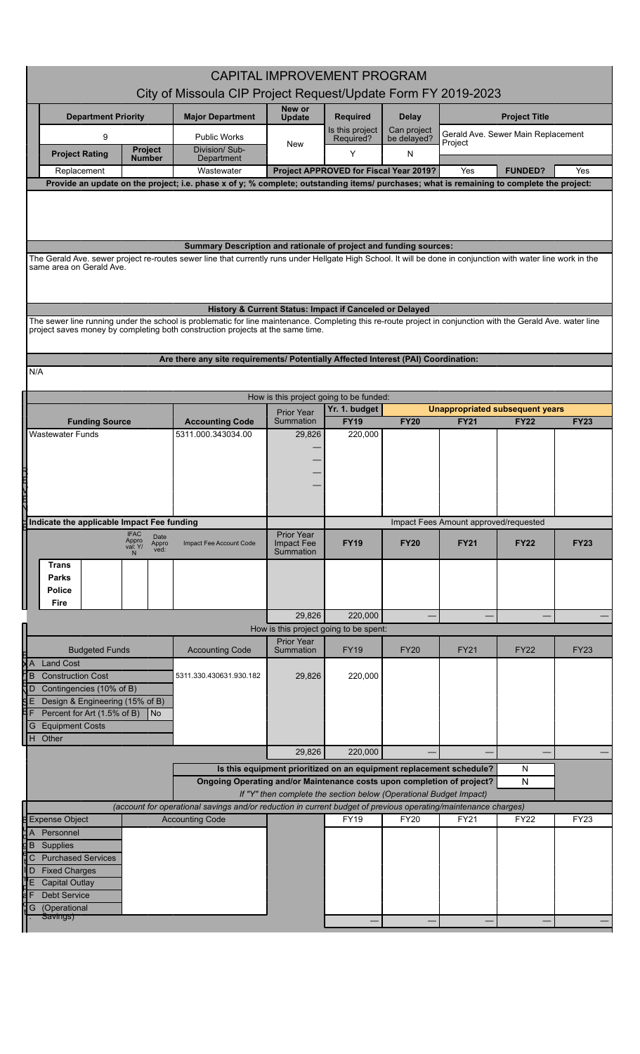| <b>CAPITAL IMPROVEMENT PROGRAM</b><br>City of Missoula CIP Project Request/Update Form FY 2019-2023                                                                                                                                                            |                                                                                                                                                    |                                                                    |                                        |                             |                                                       |                                    |             |  |  |
|----------------------------------------------------------------------------------------------------------------------------------------------------------------------------------------------------------------------------------------------------------------|----------------------------------------------------------------------------------------------------------------------------------------------------|--------------------------------------------------------------------|----------------------------------------|-----------------------------|-------------------------------------------------------|------------------------------------|-------------|--|--|
|                                                                                                                                                                                                                                                                |                                                                                                                                                    | New or                                                             |                                        |                             |                                                       |                                    |             |  |  |
| <b>Department Priority</b>                                                                                                                                                                                                                                     | <b>Major Department</b>                                                                                                                            | <b>Update</b>                                                      | <b>Required</b><br>Is this project     | <b>Delay</b><br>Can project |                                                       | <b>Project Title</b>               |             |  |  |
| 9<br><b>Project</b>                                                                                                                                                                                                                                            | <b>Public Works</b><br>Division/Sub-                                                                                                               | New                                                                | Required?<br>Y                         | be delayed?                 | Project                                               | Gerald Ave. Sewer Main Replacement |             |  |  |
| <b>Project Rating</b><br><b>Number</b><br>Replacement                                                                                                                                                                                                          | Department<br>Wastewater                                                                                                                           |                                                                    | Project APPROVED for Fiscal Year 2019? | N                           | Yes                                                   | <b>FUNDED?</b>                     | Yes         |  |  |
| Provide an update on the project; i.e. phase x of y; % complete; outstanding items/ purchases; what is remaining to complete the project:                                                                                                                      |                                                                                                                                                    |                                                                    |                                        |                             |                                                       |                                    |             |  |  |
| Summary Description and rationale of project and funding sources:<br>The Gerald Ave. sewer project re-routes sewer line that currently runs under Hellgate High School. It will be done in conjunction with water line work in the<br>same area on Gerald Ave. |                                                                                                                                                    |                                                                    |                                        |                             |                                                       |                                    |             |  |  |
|                                                                                                                                                                                                                                                                |                                                                                                                                                    |                                                                    |                                        |                             |                                                       |                                    |             |  |  |
| The sewer line running under the school is problematic for line maintenance. Completing this re-route project in conjunction with the Gerald Ave. water line                                                                                                   | History & Current Status: Impact if Canceled or Delayed                                                                                            |                                                                    |                                        |                             |                                                       |                                    |             |  |  |
| project saves money by completing both construction projects at the same time.                                                                                                                                                                                 |                                                                                                                                                    |                                                                    |                                        |                             |                                                       |                                    |             |  |  |
|                                                                                                                                                                                                                                                                | Are there any site requirements/ Potentially Affected Interest (PAI) Coordination:                                                                 |                                                                    |                                        |                             |                                                       |                                    |             |  |  |
| N/A                                                                                                                                                                                                                                                            |                                                                                                                                                    |                                                                    |                                        |                             |                                                       |                                    |             |  |  |
|                                                                                                                                                                                                                                                                |                                                                                                                                                    | How is this project going to be funded:                            |                                        |                             |                                                       |                                    |             |  |  |
| <b>Funding Source</b>                                                                                                                                                                                                                                          | <b>Accounting Code</b>                                                                                                                             | <b>Prior Year</b><br>Summation                                     | Yr. 1. budget<br><b>FY19</b>           | <b>FY20</b>                 | <b>Unappropriated subsequent years</b><br><b>FY21</b> | <b>FY22</b>                        | <b>FY23</b> |  |  |
| Wastewater Funds                                                                                                                                                                                                                                               | 5311.000.343034.00                                                                                                                                 | 29,826                                                             | 220,000                                |                             |                                                       |                                    |             |  |  |
|                                                                                                                                                                                                                                                                |                                                                                                                                                    |                                                                    |                                        |                             |                                                       |                                    |             |  |  |
|                                                                                                                                                                                                                                                                |                                                                                                                                                    |                                                                    |                                        |                             |                                                       |                                    |             |  |  |
|                                                                                                                                                                                                                                                                |                                                                                                                                                    |                                                                    |                                        |                             |                                                       |                                    |             |  |  |
|                                                                                                                                                                                                                                                                |                                                                                                                                                    |                                                                    |                                        |                             |                                                       |                                    |             |  |  |
| Indicate the applicable Impact Fee funding<br><b>IFAC</b>                                                                                                                                                                                                      |                                                                                                                                                    | Prior Year                                                         |                                        |                             | Impact Fees Amount approved/requested                 |                                    |             |  |  |
| Date<br>Appro<br>Appro<br>ved:<br>val: Y/                                                                                                                                                                                                                      | Impact Fee Account Code                                                                                                                            | <b>Impact Fee</b><br>Summation                                     | <b>FY19</b>                            | <b>FY20</b>                 | <b>FY21</b>                                           | <b>FY22</b>                        | <b>FY23</b> |  |  |
| <b>Trans</b>                                                                                                                                                                                                                                                   |                                                                                                                                                    |                                                                    |                                        |                             |                                                       |                                    |             |  |  |
| <b>Parks</b><br><b>Police</b>                                                                                                                                                                                                                                  |                                                                                                                                                    |                                                                    |                                        |                             |                                                       |                                    |             |  |  |
| Fire                                                                                                                                                                                                                                                           |                                                                                                                                                    | 29,826                                                             | 220,000                                |                             |                                                       |                                    |             |  |  |
|                                                                                                                                                                                                                                                                |                                                                                                                                                    | How is this project going to be spent:                             |                                        |                             |                                                       |                                    |             |  |  |
| <b>Budgeted Funds</b>                                                                                                                                                                                                                                          | <b>Accounting Code</b>                                                                                                                             | <b>Prior Year</b><br>Summation                                     | <b>FY19</b>                            | <b>FY20</b>                 | <b>FY21</b>                                           | <b>FY22</b>                        | <b>FY23</b> |  |  |
| XΑ<br><b>Land Cost</b>                                                                                                                                                                                                                                         |                                                                                                                                                    |                                                                    |                                        |                             |                                                       |                                    |             |  |  |
| ľВ<br><b>Construction Cost</b><br>D Contingencies (10% of B)                                                                                                                                                                                                   | 5311.330.430631.930.182                                                                                                                            | 29,826                                                             | 220,000                                |                             |                                                       |                                    |             |  |  |
| Design & Engineering (15% of B)<br>qЕ<br>Percent for Art (1.5% of B)<br>N <sub>o</sub>                                                                                                                                                                         |                                                                                                                                                    |                                                                    |                                        |                             |                                                       |                                    |             |  |  |
| <b>Equipment Costs</b><br>G                                                                                                                                                                                                                                    |                                                                                                                                                    |                                                                    |                                        |                             |                                                       |                                    |             |  |  |
| H Other                                                                                                                                                                                                                                                        |                                                                                                                                                    | 29,826                                                             | 220,000                                |                             |                                                       |                                    |             |  |  |
|                                                                                                                                                                                                                                                                |                                                                                                                                                    |                                                                    |                                        |                             | N                                                     |                                    |             |  |  |
|                                                                                                                                                                                                                                                                | Is this equipment prioritized on an equipment replacement schedule?<br>Ongoing Operating and/or Maintenance costs upon completion of project?<br>N |                                                                    |                                        |                             |                                                       |                                    |             |  |  |
|                                                                                                                                                                                                                                                                | (account for operational savings and/or reduction in current budget of previous operating/maintenance charges)                                     | If "Y" then complete the section below (Operational Budget Impact) |                                        |                             |                                                       |                                    |             |  |  |
| <b>Expense Object</b>                                                                                                                                                                                                                                          | <b>Accounting Code</b>                                                                                                                             |                                                                    | <b>FY19</b>                            | FY20                        | FY21                                                  | FY22                               | FY23        |  |  |
| Personnel<br>$\overline{A}$<br>$\overline{\mathsf{g}}$ B Supplies                                                                                                                                                                                              |                                                                                                                                                    |                                                                    |                                        |                             |                                                       |                                    |             |  |  |
| <b>Purchased Services</b><br>C                                                                                                                                                                                                                                 |                                                                                                                                                    |                                                                    |                                        |                             |                                                       |                                    |             |  |  |
| l D<br><b>Fixed Charges</b><br><b>Capital Outlay</b>                                                                                                                                                                                                           |                                                                                                                                                    |                                                                    |                                        |                             |                                                       |                                    |             |  |  |
| <b>Debt Service</b>                                                                                                                                                                                                                                            |                                                                                                                                                    |                                                                    |                                        |                             |                                                       |                                    |             |  |  |
| (Operational<br>G<br>Savings)                                                                                                                                                                                                                                  |                                                                                                                                                    |                                                                    |                                        |                             |                                                       |                                    |             |  |  |

Ш